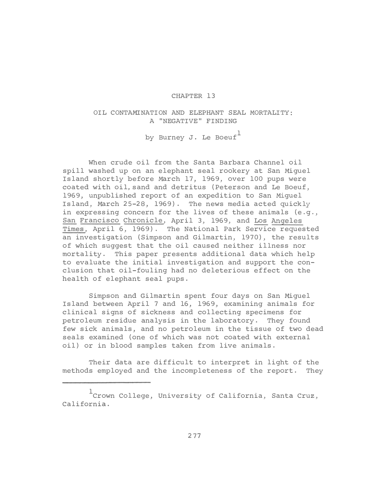## CHAPTER 13

## OIL CONTAMINATION AND ELEPHANT SEAL MORTALITY: A "NEGATIVE" FINDING by Burney J. Le Boeuf

When crude oil from the Santa Barbara Channel oil spill washed up on an elephant seal rookery at San Miguel Island shortly before March 17, 1969, over 100 pups were coated with oil,sand and detritus (Peterson and Le Boeuf, 1969, unpublished report of an expedition to San Miguel Island, March 25-28, 1969). The news media acted quickly in expressing concern for the lives of these animals (e.g., San Francisco Chronicle, April 3, 1969, and Los Angeles Times, April 6, 1969). The National Park Service requested an investigation (Simpson and Gilmartin, 1970), the results of which suggest that the oil caused neither illness nor mortality. This paper presents additional data which help to evaluate the initial investigation and support the conclusion that oil-fouling had no deleterious effect on the health of elephant seal pups.

Simpson and Gilmartin spent four days on San Miguel Island between April 7 and 16, 1969, examining animals for clinical signs of sickness and collecting specimens for petroleum residue analysis in the laboratory. They found few sick animals, and no petroleum in the tissue of two dead seals examined (one of which was not coated with external oil) or in blood samples taken from live animals.

Their data are difficult to interpret in light of the methods employed and the incompleteness of the report. They

<sup>&</sup>lt;sup>1</sup> Crown College, University of California, Santa Cruz, California.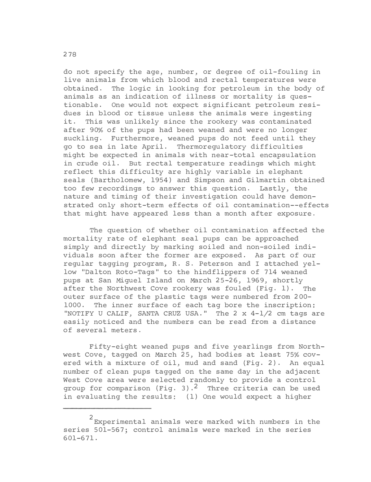do not specify the age, number, or degree of oil-fouling in live animals from which blood and rectal temperatures were obtained. The logic in looking for petroleum in the body of animals as an indication of illness or mortality is questionable. One would not expect significant petroleum residues in blood or tissue unless the animals were ingesting it. This was unlikely since the rookery was contaminated after 90% of the pups had been weaned and were no longer suckling. Furthermore, weaned pups do not feed until they go to sea in late April. Thermoregulatory difficulties might be expected in animals with near-total encapsulation in crude oil. But rectal temperature readings which might reflect this difficulty are highly variable in elephant seals (Bartholomew, 1954) and Simpson and Gilmartin obtained too few recordings to answer this question. Lastly, the nature and timing of their investigation could have demonstrated only short-term effects of oil contamination--effects that might have appeared less than a month after exposure.

The question of whether oil contamination affected the mortality rate of elephant seal pups can be approached simply and directly by marking soiled and non-soiled individuals soon after the former are exposed. As part of our regular tagging program, R. S. Peterson and I attached yellow "Dalton Roto-Tags" to the hindflippers of 714 weaned pups at San Miguel Island on March 25-26, 1969, shortly after the Northwest Cove rookery was fouled (Fig. 1). The outer surface of the plastic tags were numbered from 200- 1000. The inner surface of each tag bore the inscription: "NOTIFY U CALIF, SANTA CRUZ USA." The  $2 \times 4 - 1/2$  cm tags are easily noticed and the numbers can be read from a distance of several meters.

Fifty-eight weaned pups and five yearlings from Northwest Cove, tagged on March 25, had bodies at least 75% covered with a mixture of oil, mud and sand (Fig. 2). An equal number of clean pups tagged on the same day in the adjacent West Cove area were selected randomly to provide a control group for comparison (Fig. 3).<sup>2</sup> Three criteria can be used in evaluating the results: (1) One would expect a higher

<sup>2</sup> Experimental animals were marked with numbers in the series 501-567; control animals were marked in the series 601-671.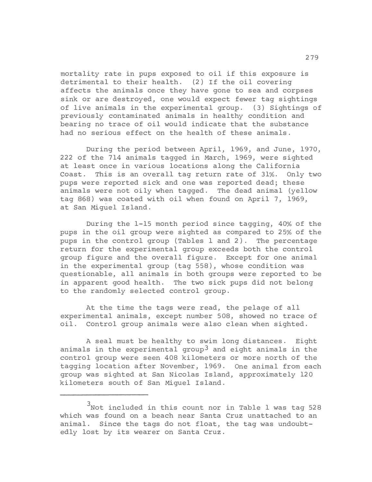mortality rate in pups exposed to oil if this exposure is detrimental to their health. (2) If the oil covering affects the animals once they have gone to sea and corpses sink or are destroyed, one would expect fewer tag sightings of live animals in the experimental group. (3) Sightings of previously contaminated animals in healthy condition and bearing no trace of oil would indicate that the substance had no serious effect on the health of these animals.

During the period between April, 1969, and June, 1970, 222 of the 714 animals tagged in March, 1969, were sighted at least once in various locations along the California Coast. This is an overall tag return rate of 31%. Only two pups were reported sick and one was reported dead; these animals were not oily when tagged. The dead animal (yellow tag 868) was coated with oil when found on April 7, 1969, at San Miguel Island.

During the 1-15 month period since tagging, 40% of the pups in the oil group were sighted as compared to 25% of the pups in the control group (Tables 1 and 2). The percentage return for the experimental group exceeds both the control group figure and the overall figure. Except for one animal in the experimental group (tag 558), whose condition was questionable, all animals in both groups were reported to be in apparent good health. The two sick pups did not belong to the randomly selected control group.

At the time the tags were read, the pelage of all experimental animals, except number 508, showed no trace of oil. Control group animals were also clean when sighted.

A seal must be healthy to swim long distances. Eight animals in the experimental group<sup>3</sup> and eight animals in the control group were seen 408 kilometers or more north of the tagging location after November, 1969. One animal from each group was sighted at San Nicolas Island, approximately 120 kilometers south of San Miguel Island.

 $3$  Not included in this count nor in Table 1 was tag 528 which was found on a beach near Santa Cruz unattached to an animal. Since the tags do not float, the tag was undoubtedly lost by its wearer on Santa Cruz.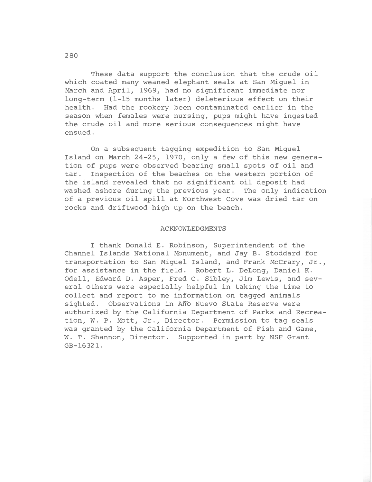These data support the conclusion that the crude oil which coated many weaned elephant seals at San Miguel in March and April, 1969, had no significant immediate nor long-term (1-15 months later ) deleterious effect on their health. Had the rookery been contaminated earlier in the season when females were nursing, pups might have ingested the crude oil and more serious consequences might have ensued.

On a subsequent tagging expedition to San Miguel Island on March 24-25, 1970, only a few of this new generation of pups were observed bearing small spots of oil and tar. Inspection of the beaches on the western portion of the island revealed that no significant oil deposit had washed ashore during the previous year. The only indication of a previous oil spill at Northwest Cove was dried tar on rocks and driftwood high up on the beach.

## ACKNOWLEDGMENTS

I thank Donald E. Robinson, Superintendent of the Channel Islands National Monument, and Jay B. Stoddard for transportation to San Miguel Island, and Frank McCrary, Jr., for assistance in the field. Robert L. DeLong, Daniel K. Odell, Edward D. Asper, Fred C. Sibley, Jim Lewis, and several others were especially helpful in taking the time to collect and report to me information on tagged animals sighted. Observations in A�o Nuevo State Reserve were authorized by the California Department of Parks and Recreation, W. P. Mott, Jr., Director. Permission to tag seals was granted by the California Department of Fish and Game, W. T. Shannon, Director. Supported in part by NSF Grant GB-16321.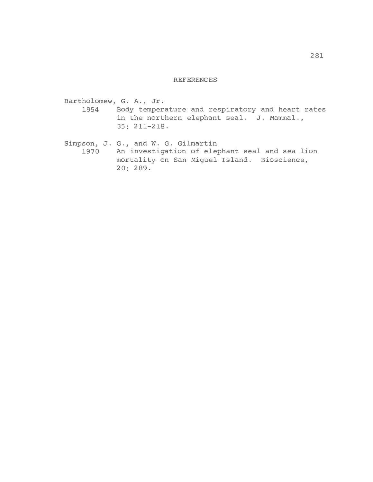## REFERENCES

Bartholomew, G. A., Jr. 1954 Body temperature and respiratory and heart rates in the northern elephant seal. J. Mammal., 35: 211-218. Simpson, J. G., and W. G. Gilmartin 1970 An investigation of elephant seal and sea lion

mortality on San Miguel Island. Bioscience, 20: 289.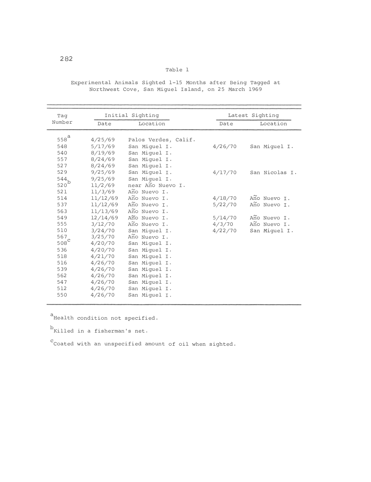| Taq                                       | Initial Sighting |                      | Latest Sighting |                |
|-------------------------------------------|------------------|----------------------|-----------------|----------------|
| Number                                    | Date             | Location             | Date            | Location       |
|                                           |                  |                      |                 |                |
| $558^{\textstyle \mathsf{a}}$             | 4/25/69          | Palos Verdes, Calif. |                 |                |
| 548                                       | 5/17/69          | San Miquel I.        | 4/26/70         | San Miquel I.  |
| 540                                       | 8/19/69          | San Miquel I.        |                 |                |
| 557                                       | 8/24/69          | San Miguel I.        |                 |                |
| 527                                       | 8/24/69          | San Miquel I.        |                 |                |
| 529                                       | 9/25/69          | San Miquel I.        | 4/17/70         | San Nicolas I. |
| $\begin{array}{c} 544 \\ 520 \end{array}$ | 9/25/69          | San Miquel I.        |                 |                |
|                                           | 11/2/69          | near Año Nuevo I.    |                 |                |
| 521                                       | 11/3/69          | Año Nuevo I.         |                 |                |
| 514                                       | 11/12/69         | Año Nuevo I.         | 4/18/70         | Ano Nuevo I.   |
| 537                                       | 11/12/69         | Ano Nuevo I.         | 5/22/70         | Año Nuevo I.   |
| 563                                       | 11/13/69         | Año Nuevo I.         |                 |                |
| 549                                       | 12/14/69         | Año Nuevo I.         | 5/14/70         | Año Nuevo I.   |
| 555                                       | 3/12/70          | Ano Nuevo I.         | 4/3/70          | Año Nuevo I.   |
| 510                                       | 3/24/70          | San Miquel I.        | 4/22/70         | San Miquel I.  |
| 567                                       | 3/25/70          | Ano Nuevo I.         |                 |                |
| $508^{\circ}$                             | 4/20/70          | San Miquel I.        |                 |                |
| 536                                       | 4/20/70          | San Miquel I.        |                 |                |
| 518                                       | 4/21/70          | San Miguel I.        |                 |                |
| 516                                       | 4/26/70          | San Miquel I.        |                 |                |
| 539                                       | 4/26/70          | San Miquel I.        |                 |                |
| 562                                       | 4/26/70          | San Miquel I.        |                 |                |
| 547                                       | 4/26/70          | San Miguel I.        |                 |                |
| 512                                       | 4/26/70          | San Miguel I.        |                 |                |
| 550                                       | 4/26/70          | San Miquel I.        |                 |                |
|                                           |                  |                      |                 |                |

Experimental Animals Sighted 1-15 Months after Being Tagged at Northwest Cove, San Miguel Island, on 25 March 1969

Table 1

a<br>Health condition not specified.

b<br>Killed in a fisherman's net.

c Coated with an unspecified amount of oil when sighted.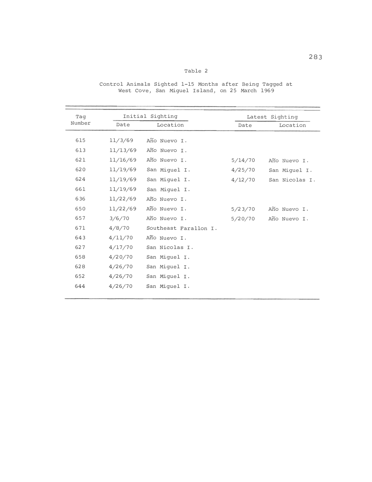| ٩ |  |
|---|--|
|---|--|

| Taq<br>Number | Initial Sighting |                       | Latest Sighting |                |
|---------------|------------------|-----------------------|-----------------|----------------|
|               | Date             | Location              | Date            | Location       |
| 615           | 11/3/69          | Año Nuevo I.          |                 |                |
| 613           | 11/13/69         | Año Nuevo I.          |                 |                |
| 621           | 11/16/69         | Año Nuevo I.          | 5/14/70         | Año Nuevo I.   |
| 620           | 11/19/69         | San Miguel I.         | 4/25/70         | San Miquel I.  |
| 624           | 11/19/69         | San Miguel I.         | 4/12/70         | San Nicolas I. |
| 661           | 11/19/69         | San Miguel I.         |                 |                |
| 636           | 11/22/69         | Año Nuevo I.          |                 |                |
| 650           | 11/22/69         | Año Nuevo I.          | 5/23/70         | Año Nuevo I.   |
| 657           | 3/6/70           | Año Nuevo I.          | 5/20/70         | Año Nuevo I.   |
| 671           | 4/8/70           | Southeast Farallon I. |                 |                |
| 643           | 4/11/70          | Año Nuevo I.          |                 |                |
| 627           | 4/17/70          | San Nicolas I.        |                 |                |
| 658           | 4/20/70          | San Miguel I.         |                 |                |
| 628           | 4/26/70          | San Miguel I.         |                 |                |
| 652           | 4/26/70          | San Miquel I.         |                 |                |
| 644           | 4/26/70          | San Miquel I.         |                 |                |

Control Animals Sighted 1-15 Months after Being Tagged at West Cove, San Miguel Island, on 25 March 1969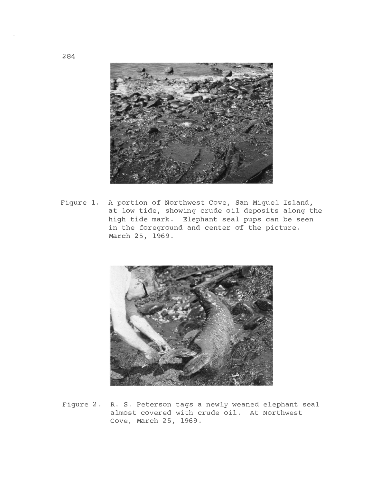

Figure 1. A portion of Northwest Cove, San Miguel Island, at low tide, showing crude oil deposits along the high tide mark. Elephant seal pups can be seen in the foreground and center of the picture. March 25, 1969.



Figure 2. R. S. Peterson tags a newly weaned elephant seal almost covered with crude oil. At Northwest Cove, March 25, 1969.

284